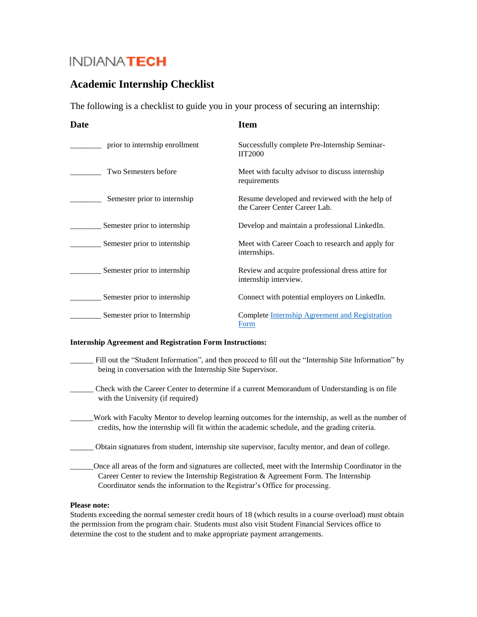# INDIANA**TECH**

## **Academic Internship Checklist**

The following is a checklist to guide you in your process of securing an internship:

| Date                           | <b>Item</b>                                                                     |
|--------------------------------|---------------------------------------------------------------------------------|
| prior to internship enrollment | Successfully complete Pre-Internship Seminar-<br><b>IIT2000</b>                 |
| Two Semesters before           | Meet with faculty advisor to discuss internship<br>requirements                 |
| Semester prior to internship   | Resume developed and reviewed with the help of<br>the Career Center Career Lab. |
| Semester prior to internship   | Develop and maintain a professional LinkedIn.                                   |
| Semester prior to internship   | Meet with Career Coach to research and apply for<br>internships.                |
| Semester prior to internship   | Review and acquire professional dress attire for<br>internship interview.       |
| Semester prior to internship   | Connect with potential employers on LinkedIn.                                   |
| Semester prior to Internship   | Complete Internship Agreement and Registration<br>Form                          |

#### **Internship Agreement and Registration Form Instructions:**

- Fill out the "Student Information", and then proceed to fill out the "Internship Site Information" by being in conversation with the Internship Site Supervisor.
- \_\_\_\_\_\_ Check with the Career Center to determine if a current Memorandum of Understanding is on file with the University (if required)
	- \_\_\_\_\_\_Work with Faculty Mentor to develop learning outcomes for the internship, as well as the number of credits, how the internship will fit within the academic schedule, and the grading criteria.
		- \_\_\_\_\_\_ Obtain signatures from student, internship site supervisor, faculty mentor, and dean of college.
- \_\_\_\_\_\_Once all areas of the form and signatures are collected, meet with the Internship Coordinator in the Career Center to review the Internship Registration & Agreement Form. The Internship Coordinator sends the information to the Registrar's Office for processing.

#### **Please note:**

Students exceeding the normal semester credit hours of 18 (which results in a course overload) must obtain the permission from the program chair. Students must also visit Student Financial Services office to determine the cost to the student and to make appropriate payment arrangements.